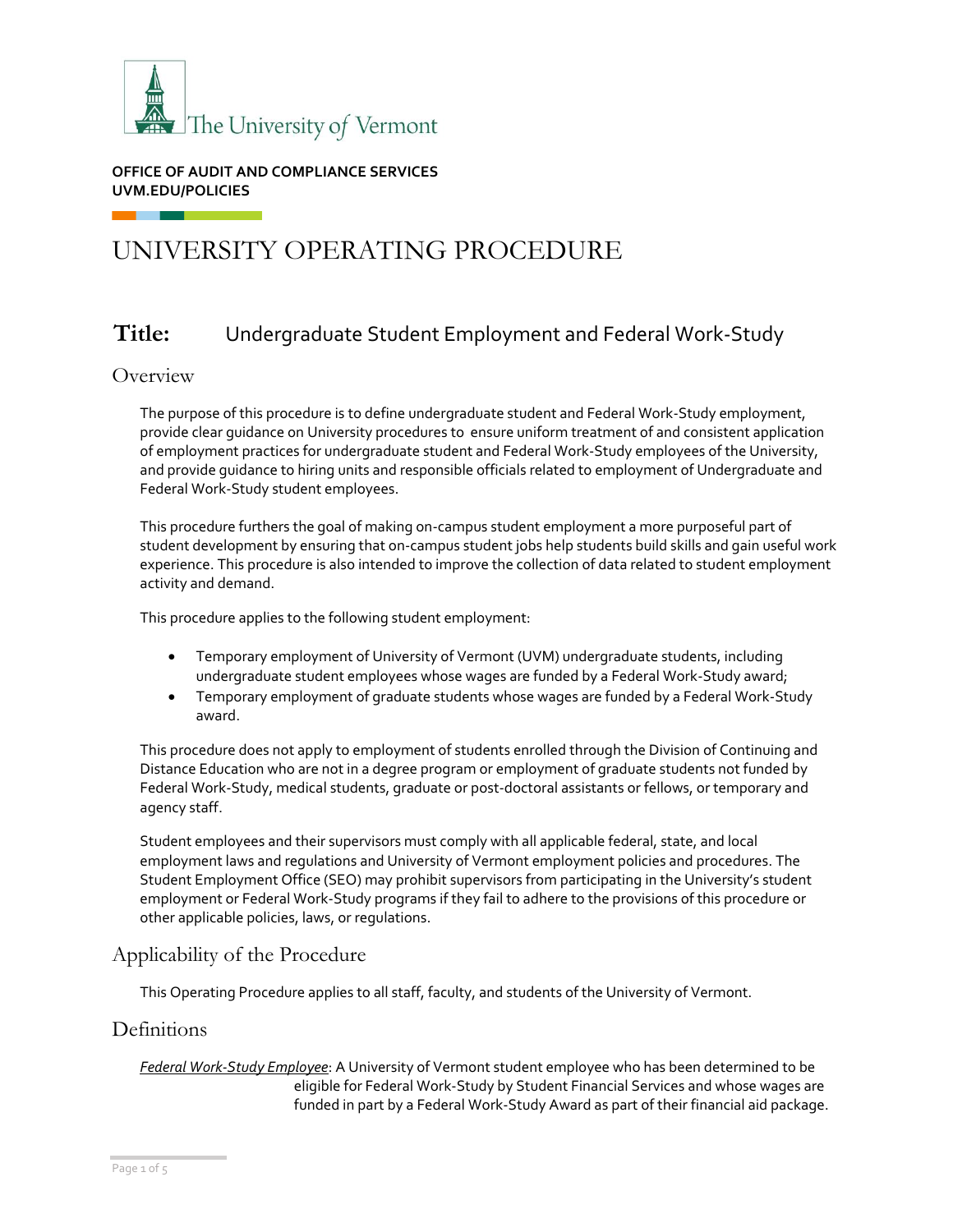

**OFFICE OF AUDIT AND COMPLIANCE SERVICES UVM.EDU/POLICIES**

# UNIVERSITY OPERATING PROCEDURE

# **Title:** Undergraduate Student Employment and Federal Work-Study

#### **Overview**

The purpose of this procedure is to define undergraduate student and Federal Work-Study employment, provide clear guidance on University procedures to ensure uniform treatment of and consistent application of employment practices for undergraduate student and Federal Work-Study employees of the University, and provide guidance to hiring units and responsible officials related to employment of Undergraduate and Federal Work-Study student employees.

This procedure furthers the goal of making on-campus student employment a more purposeful part of student development by ensuring that on-campus student jobs help students build skills and gain useful work experience. This procedure is also intended to improve the collection of data related to student employment activity and demand.

This procedure applies to the following student employment:

- Temporary employment of University of Vermont (UVM) undergraduate students, including undergraduate student employees whose wages are funded by a Federal Work-Study award;
- Temporary employment of graduate students whose wages are funded by a Federal Work-Study award.

This procedure does not apply to employment of students enrolled through the Division of Continuing and Distance Education who are not in a degree program or employment of graduate students not funded by Federal Work-Study, medical students, graduate or post-doctoral assistants or fellows, or temporary and agency staff.

Student employees and their supervisors must comply with all applicable federal, state, and local employment laws and regulations and University of Vermont employment policies and procedures. The Student Employment Office (SEO) may prohibit supervisors from participating in the University's student employment or Federal Work-Study programs if they fail to adhere to the provisions of this procedure or other applicable policies, laws, or regulations.

# Applicability of the Procedure

This Operating Procedure applies to all staff, faculty, and students of the University of Vermont.

# **Definitions**

*Federal Work-Study Employee*: A University of Vermont student employee who has been determined to be eligible for Federal Work-Study by Student Financial Services and whose wages are funded in part by a Federal Work-Study Award as part of their financial aid package.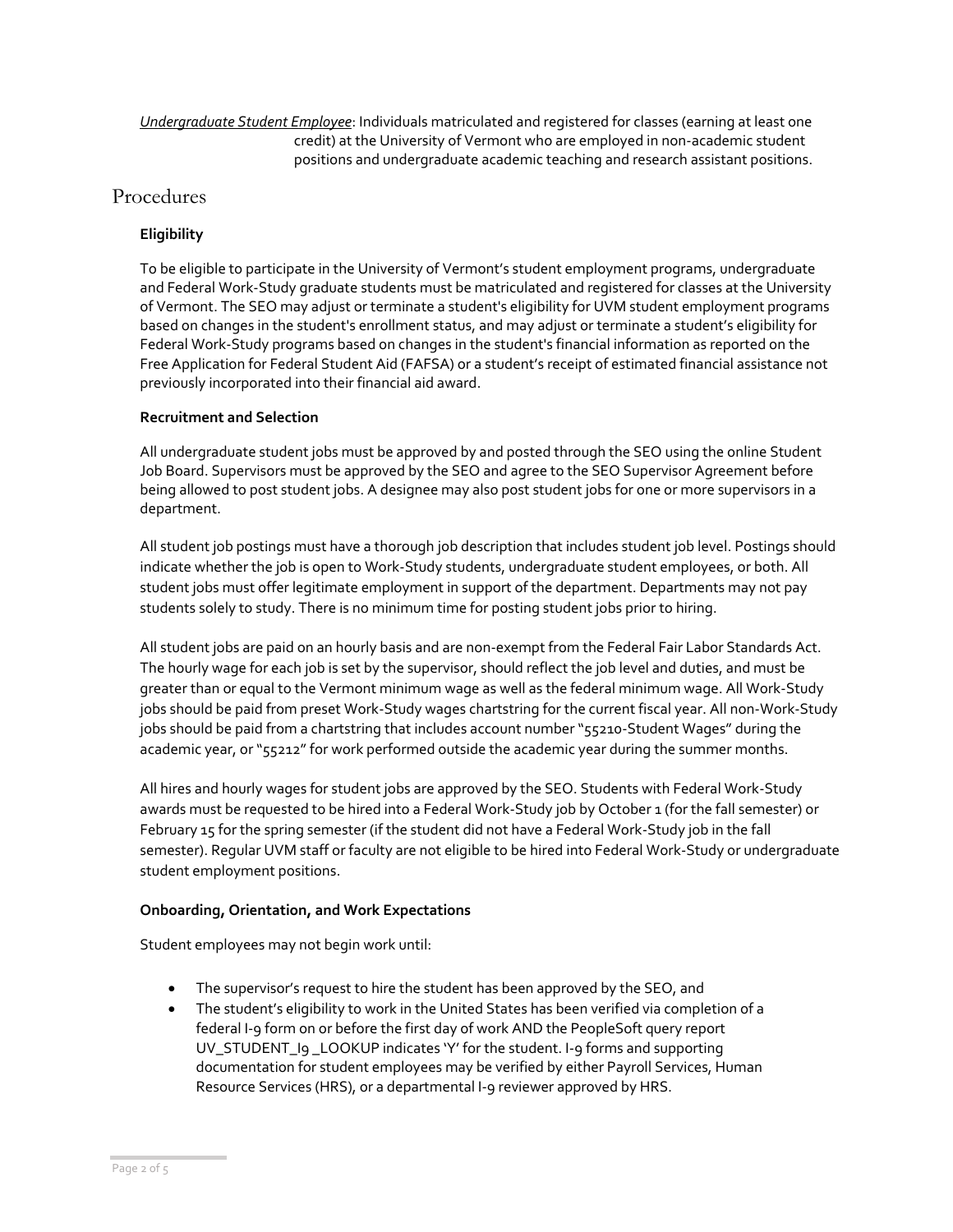#### *Undergraduate Student Employee*: Individuals matriculated and registered for classes (earning at least one credit) at the University of Vermont who are employed in non-academic student positions and undergraduate academic teaching and research assistant positions.

# Procedures

#### **Eligibility**

To be eligible to participate in the University of Vermont's student employment programs, undergraduate and Federal Work-Study graduate students must be matriculated and registered for classes at the University of Vermont. The SEO may adjust or terminate a student's eligibility for UVM student employment programs based on changes in the student's enrollment status, and may adjust or terminate a student's eligibility for Federal Work-Study programs based on changes in the student's financial information as reported on the Free Application for Federal Student Aid (FAFSA) or a student's receipt of estimated financial assistance not previously incorporated into their financial aid award.

#### **Recruitment and Selection**

All undergraduate student jobs must be approved by and posted through the SEO using the online Student Job Board. Supervisors must be approved by the SEO and agree to the SEO Supervisor Agreement before being allowed to post student jobs. A designee may also post student jobs for one or more supervisors in a department.

All student job postings must have a thorough job description that includes student job level. Postings should indicate whether the job is open to Work-Study students, undergraduate student employees, or both. All student jobs must offer legitimate employment in support of the department. Departments may not pay students solely to study. There is no minimum time for posting student jobs prior to hiring.

All student jobs are paid on an hourly basis and are non-exempt from the Federal Fair Labor Standards Act. The hourly wage for each job is set by the supervisor, should reflect the job level and duties, and must be greater than or equal to the Vermont minimum wage as well as the federal minimum wage. All Work-Study jobs should be paid from preset Work-Study wages chartstring for the current fiscal year. All non-Work-Study jobs should be paid from a chartstring that includes account number "55210-Student Wages" during the academic year, or "55212" for work performed outside the academic year during the summer months.

All hires and hourly wages for student jobs are approved by the SEO. Students with Federal Work-Study awards must be requested to be hired into a Federal Work-Study job by October 1 (for the fall semester) or February 15 for the spring semester (if the student did not have a Federal Work-Study job in the fall semester). Regular UVM staff or faculty are not eligible to be hired into Federal Work-Study or undergraduate student employment positions.

#### **Onboarding, Orientation, and Work Expectations**

Student employees may not begin work until:

- The supervisor's request to hire the student has been approved by the SEO, and
- The student's eligibility to work in the United States has been verified via completion of a federal I-9 form on or before the first day of work AND the PeopleSoft query report UV\_STUDENT\_I9 \_LOOKUP indicates 'Y' for the student. I-9 forms and supporting documentation for student employees may be verified by either Payroll Services, Human Resource Services (HRS), or a departmental I-9 reviewer approved by HRS.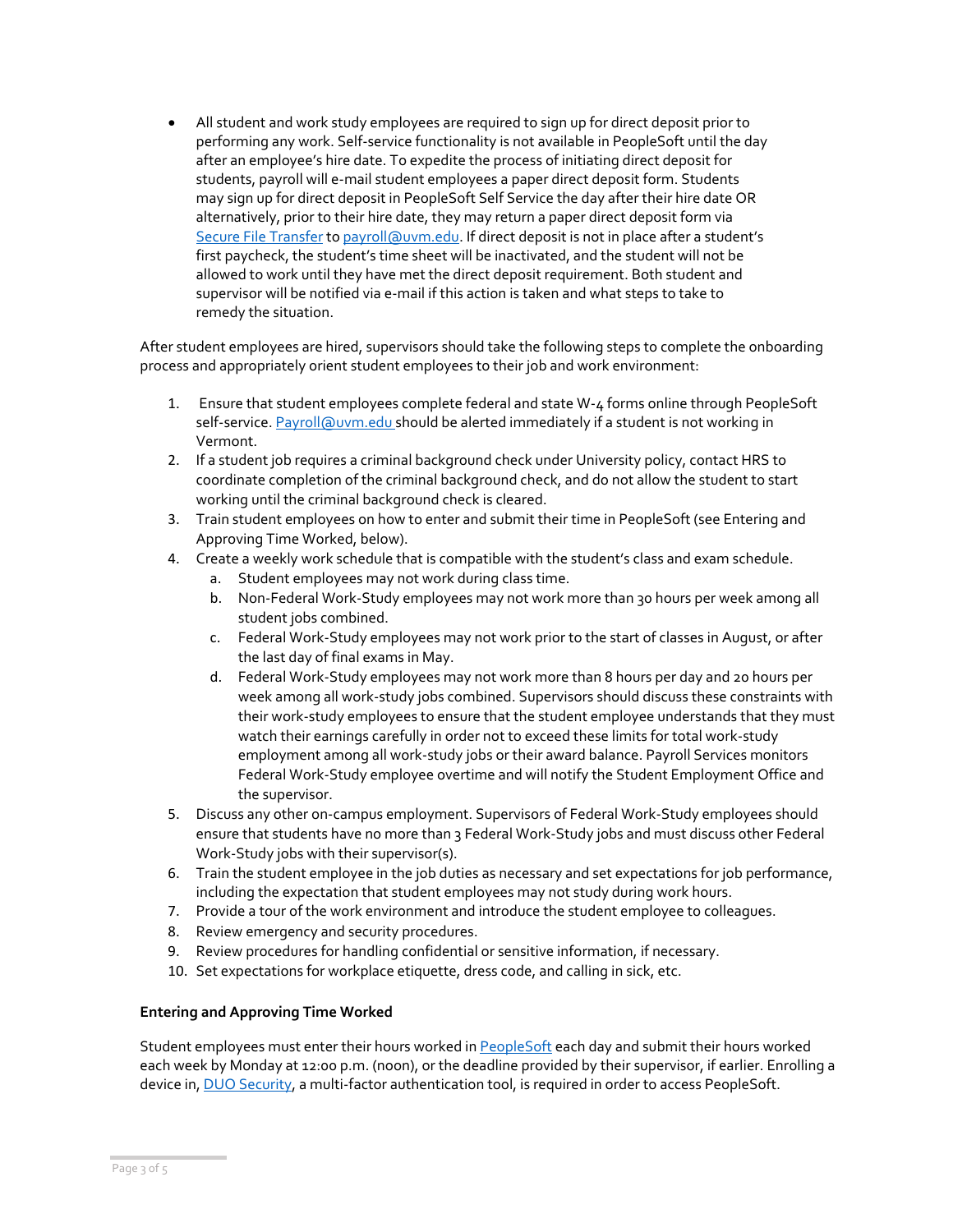• All student and work study employees are required to sign up for direct deposit prior to performing any work. Self-service functionality is not available in PeopleSoft until the day after an employee's hire date. To expedite the process of initiating direct deposit for students, payroll will e-mail student employees a paper direct deposit form. Students may sign up for direct deposit in PeopleSoft Self Service the day after their hire date OR alternatively, prior to their hire date, they may return a paper direct deposit form via [Secure File Transfer](https://filetransfer.uvm.edu/) to [payroll@uvm.edu](mailto:payroll@uvm.edu). If direct deposit is not in place after a student's first paycheck, the student's time sheet will be inactivated, and the student will not be allowed to work until they have met the direct deposit requirement. Both student and supervisor will be notified via e-mail if this action is taken and what steps to take to remedy the situation.

After student employees are hired, supervisors should take the following steps to complete the onboarding process and appropriately orient student employees to their job and work environment:

- 1. Ensure that student employees complete federal and state W-4 forms online through PeopleSoft self-service[. Payroll@uvm.edu](mailto:Payroll@uvm.edu) should be alerted immediately if a student is not working in Vermont.
- 2. If a student job requires a criminal background check under University policy, contact HRS to coordinate completion of the criminal background check, and do not allow the student to start working until the criminal background check is cleared.
- 3. Train student employees on how to enter and submit their time in PeopleSoft (see Entering and Approving Time Worked, below).
- 4. Create a weekly work schedule that is compatible with the student's class and exam schedule.
	- a. Student employees may not work during class time.
	- b. Non-Federal Work-Study employees may not work more than 30 hours per week among all student jobs combined.
	- c. Federal Work-Study employees may not work prior to the start of classes in August, or after the last day of final exams in May.
	- d. Federal Work-Study employees may not work more than 8 hours per day and 20 hours per week among all work-study jobs combined. Supervisors should discuss these constraints with their work-study employees to ensure that the student employee understands that they must watch their earnings carefully in order not to exceed these limits for total work-study employment among all work-study jobs or their award balance. Payroll Services monitors Federal Work-Study employee overtime and will notify the Student Employment Office and the supervisor.
- 5. Discuss any other on-campus employment. Supervisors of Federal Work-Study employees should ensure that students have no more than 3 Federal Work-Study jobs and must discuss other Federal Work-Study jobs with their supervisor(s).
- 6. Train the student employee in the job duties as necessary and set expectations for job performance, including the expectation that student employees may not study during work hours.
- 7. Provide a tour of the work environment and introduce the student employee to colleagues.
- 8. Review emergency and security procedures.
- 9. Review procedures for handling confidential or sensitive information, if necessary.
- 10. Set expectations for workplace etiquette, dress code, and calling in sick, etc.

#### **Entering and Approving Time Worked**

Student employees must enter their hours worked i[n PeopleSoft](https://www.uvm.edu/~erp/portal/) each day and submit their hours worked each week by Monday at 12:00 p.m. (noon), or the deadline provided by their supervisor, if earlier. Enrolling a device in, [DUO Security,](https://www.uvm.edu/it/kb/article/duo-multi-factor-authentication/) a multi-factor authentication tool, is required in order to access PeopleSoft.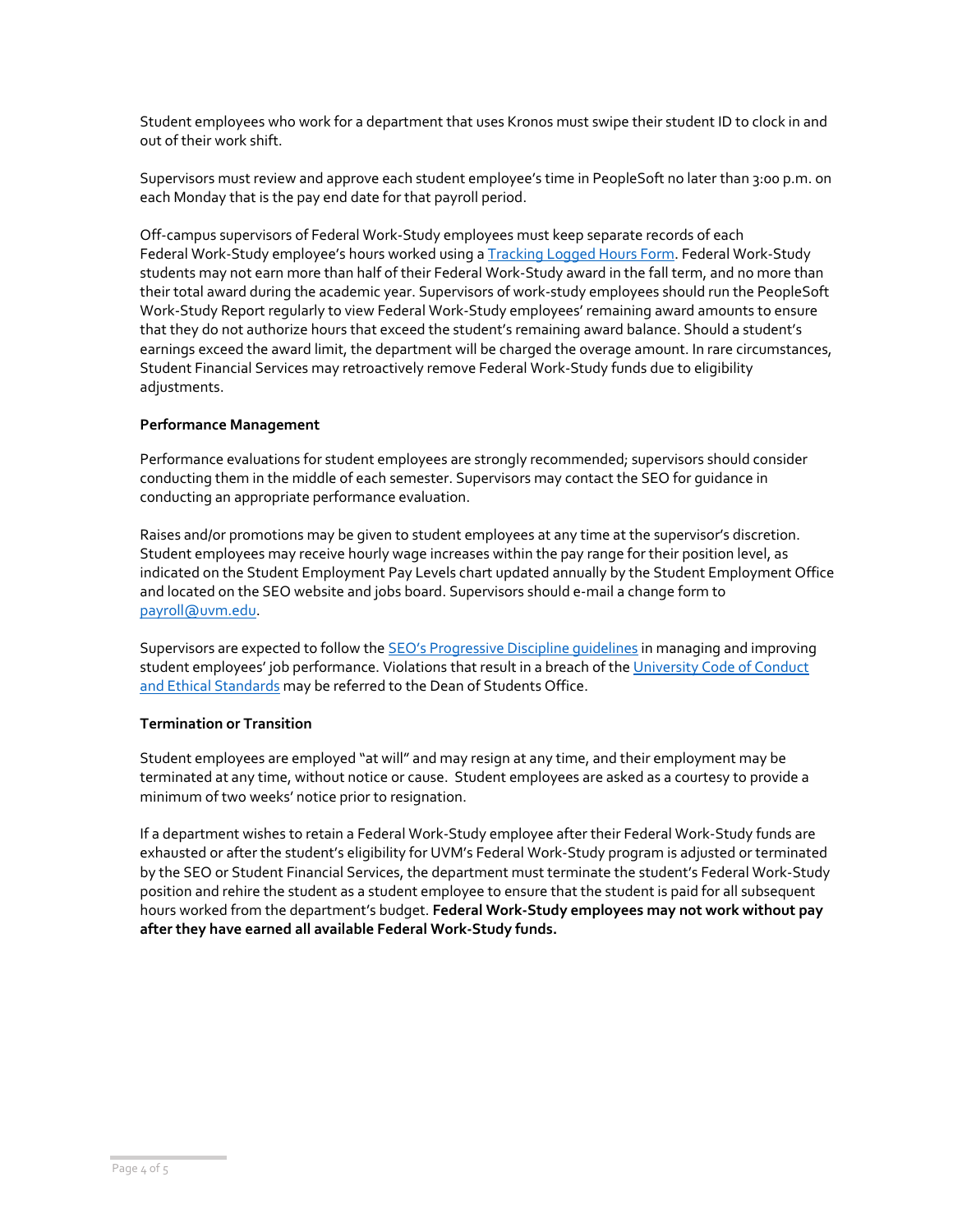Student employees who work for a department that uses Kronos must swipe their student ID to clock in and out of their work shift.

Supervisors must review and approve each student employee's time in PeopleSoft no later than 3:00 p.m. on each Monday that is the pay end date for that payroll period.

Off-campus supervisors of Federal Work-Study employees must keep separate records of each Federal Work-Study employee's hours worked using a [Tracking Logged Hours Form.](https://www.uvm.edu/sites/default/files/UVM-Student-Employment-Office/timesheettracking.pdf) Federal Work-Study students may not earn more than half of their Federal Work-Study award in the fall term, and no more than their total award during the academic year. Supervisors of work-study employees should run the PeopleSoft Work-Study Report regularly to view Federal Work-Study employees' remaining award amounts to ensure that they do not authorize hours that exceed the student's remaining award balance. Should a student's earnings exceed the award limit, the department will be charged the overage amount. In rare circumstances, Student Financial Services may retroactively remove Federal Work-Study funds due to eligibility adjustments.

#### **Performance Management**

Performance evaluations for student employees are strongly recommended; supervisors should consider conducting them in the middle of each semester. Supervisors may contact the SEO for guidance in conducting an appropriate performance evaluation.

Raises and/or promotions may be given to student employees at any time at the supervisor's discretion. Student employees may receive hourly wage increases within the pay range for their position level, as indicated on the Student Employment Pay Levels chart updated annually by the Student Employment Office and located on the SEO website and jobs board. Supervisors should e-mail a change form to [payroll@uvm.edu.](mailto:payroll@uvm.edu)

Supervisors are expected to follow the SEO's Pr[ogressive Discipline guidelines](https://www.uvm.edu/studentemployment/supervisor-tool-kit) in managing and improving student employees' job performance. Violations that result in a breach of the University Code of Conduct [and Ethical Standards](https://www.uvm.edu/sites/default/files/UVM-Policies/policies/businessconduct.pdf) may be referred to the Dean of Students Office.

#### **Termination or Transition**

Student employees are employed "at will" and may resign at any time, and their employment may be terminated at any time, without notice or cause. Student employees are asked as a courtesy to provide a minimum of two weeks' notice prior to resignation.

If a department wishes to retain a Federal Work-Study employee after their Federal Work-Study funds are exhausted or after the student's eligibility for UVM's Federal Work-Study program is adjusted or terminated by the SEO or Student Financial Services, the department must terminate the student's Federal Work-Study position and rehire the student as a student employee to ensure that the student is paid for all subsequent hours worked from the department's budget. **Federal Work-Study employees may not work without pay after they have earned all available Federal Work-Study funds.**